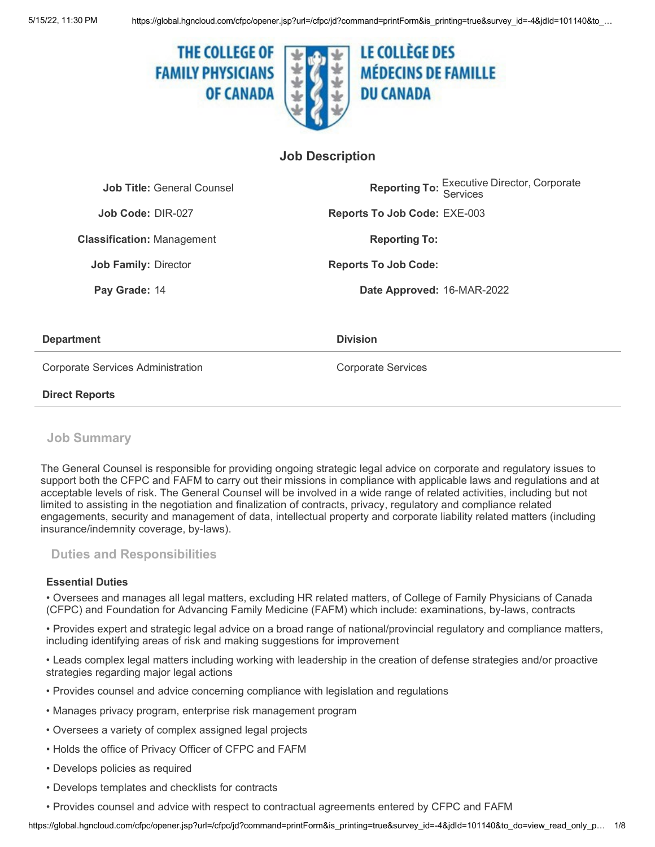

# **Job Description**

| <b>Job Title: General Counsel</b> | <b>Reporting To: Executive Director, Corporate</b> |
|-----------------------------------|----------------------------------------------------|
| Job Code: DIR-027                 | <b>Reports To Job Code: EXE-003</b>                |
| <b>Classification: Management</b> | <b>Reporting To:</b>                               |
| <b>Job Family: Director</b>       | <b>Reports To Job Code:</b>                        |
| Pay Grade: 14                     | Date Approved: 16-MAR-2022                         |
|                                   |                                                    |
|                                   |                                                    |

### **Department Department**

Corporate Services Administration Corporate Services

### **Direct Reports**

# **Job Summary**

The General Counsel is responsible for providing ongoing strategic legal advice on corporate and regulatory issues to support both the CFPC and FAFM to carry out their missions in compliance with applicable laws and regulations and at acceptable levels of risk. The General Counsel will be involved in a wide range of related activities, including but not limited to assisting in the negotiation and finalization of contracts, privacy, regulatory and compliance related engagements, security and management of data, intellectual property and corporate liability related matters (including insurance/indemnity coverage, by-laws).

# **Duties and Responsibilities**

### **Essential Duties**

• Oversees and manages all legal matters, excluding HR related matters, of College of Family Physicians of Canada (CFPC) and Foundation for Advancing Family Medicine (FAFM) which include: examinations, by-laws, contracts

• Provides expert and strategic legal advice on a broad range of national/provincial regulatory and compliance matters, including identifying areas of risk and making suggestions for improvement

• Leads complex legal matters including working with leadership in the creation of defense strategies and/or proactive strategies regarding major legal actions

- Provides counsel and advice concerning compliance with legislation and regulations
- Manages privacy program, enterprise risk management program
- Oversees a variety of complex assigned legal projects
- Holds the office of Privacy Officer of CFPC and FAFM
- Develops policies as required
- Develops templates and checklists for contracts
- Provides counsel and advice with respect to contractual agreements entered by CFPC and FAFM

https://global.hgncloud.com/cfpc/opener.jsp?url=/cfpc/jd?command=printForm&is\_printing=true&survey\_id=-4&jdId=101140&to\_do=view\_read\_only\_p… 1/8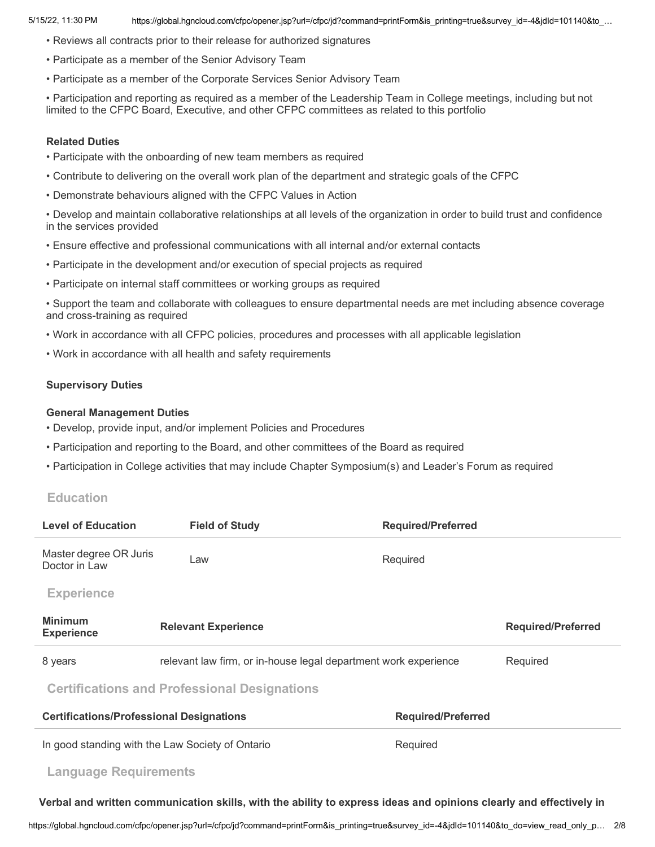- Reviews all contracts prior to their release for authorized signatures
- Participate as a member of the Senior Advisory Team
- Participate as a member of the Corporate Services Senior Advisory Team

• Participation and reporting as required as a member of the Leadership Team in College meetings, including but not limited to the CFPC Board, Executive, and other CFPC committees as related to this portfolio

#### **Related Duties**

- Participate with the onboarding of new team members as required
- Contribute to delivering on the overall work plan of the department and strategic goals of the CFPC
- Demonstrate behaviours aligned with the CFPC Values in Action

• Develop and maintain collaborative relationships at all levels of the organization in order to build trust and confidence in the services provided

- Ensure effective and professional communications with all internal and/or external contacts
- Participate in the development and/or execution of special projects as required
- Participate on internal staff committees or working groups as required
- Support the team and collaborate with colleagues to ensure departmental needs are met including absence coverage and cross-training as required
- Work in accordance with all CFPC policies, procedures and processes with all applicable legislation
- Work in accordance with all health and safety requirements

### **Supervisory Duties**

### **General Management Duties**

- Develop, provide input, and/or implement Policies and Procedures
- Participation and reporting to the Board, and other committees of the Board as required
- Participation in College activities that may include Chapter Symposium(s) and Leader's Forum as required

## **Education**

| <b>Level of Education</b>                           | <b>Field of Study</b>                                           | <b>Required/Preferred</b> |                           |  |
|-----------------------------------------------------|-----------------------------------------------------------------|---------------------------|---------------------------|--|
| Master degree OR Juris<br>Doctor in Law             | Law                                                             | Required                  |                           |  |
| <b>Experience</b>                                   |                                                                 |                           |                           |  |
| <b>Minimum</b><br><b>Experience</b>                 | <b>Relevant Experience</b>                                      |                           | <b>Required/Preferred</b> |  |
| 8 years                                             | relevant law firm, or in-house legal department work experience |                           | Required                  |  |
| <b>Certifications and Professional Designations</b> |                                                                 |                           |                           |  |
| <b>Certifications/Professional Designations</b>     |                                                                 | <b>Required/Preferred</b> |                           |  |
| In good standing with the Law Society of Ontario    |                                                                 | Required                  |                           |  |
| <b>Language Requirements</b>                        |                                                                 |                           |                           |  |
|                                                     |                                                                 |                           |                           |  |

Verbal and written communication skills, with the ability to express ideas and opinions clearly and effectively in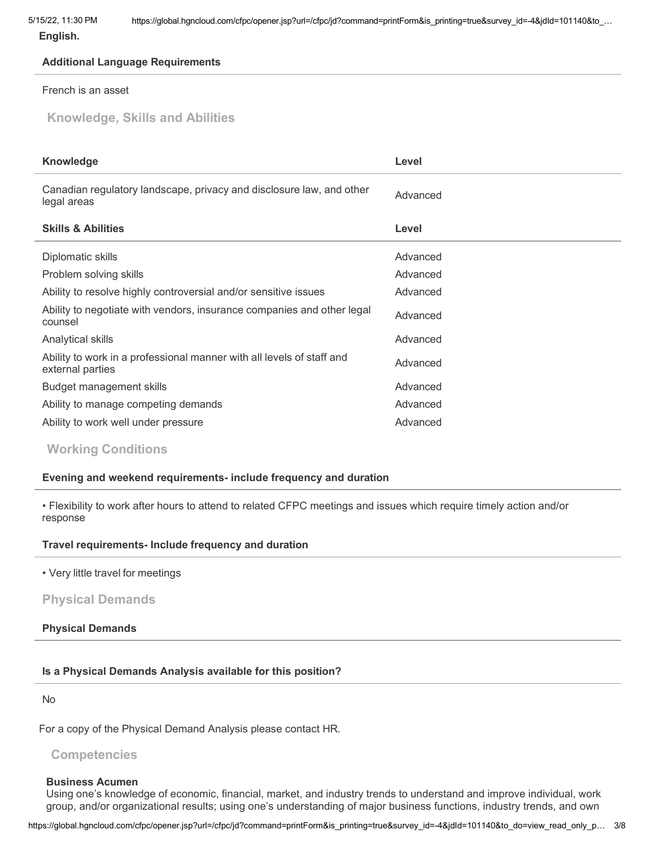**English.**

# **Additional Language Requirements**

## French is an asset

**Knowledge, Skills and Abilities**

| <b>Knowledge</b>                                                                          | Level    |
|-------------------------------------------------------------------------------------------|----------|
| Canadian regulatory landscape, privacy and disclosure law, and other<br>legal areas       | Advanced |
| <b>Skills &amp; Abilities</b>                                                             | Level    |
| Diplomatic skills                                                                         | Advanced |
| Problem solving skills                                                                    | Advanced |
| Ability to resolve highly controversial and/or sensitive issues                           | Advanced |
| Ability to negotiate with vendors, insurance companies and other legal<br>counsel         | Advanced |
| Analytical skills                                                                         | Advanced |
| Ability to work in a professional manner with all levels of staff and<br>external parties | Advanced |
| Budget management skills                                                                  | Advanced |
| Ability to manage competing demands                                                       | Advanced |
| Ability to work well under pressure                                                       | Advanced |

**Working Conditions**

# **Evening and weekend requirements- include frequency and duration**

• Flexibility to work after hours to attend to related CFPC meetings and issues which require timely action and/or response

# **Travel requirements- Include frequency and duration**

• Very little travel for meetings

# **Physical Demands**

# **Physical Demands**

# **Is a Physical Demands Analysis available for this position?**

No

For a copy of the Physical Demand Analysis please contact HR.

# **Competencies**

## **Business Acumen**

Using one's knowledge of economic, financial, market, and industry trends to understand and improve individual, work group, and/or organizational results; using one's understanding of major business functions, industry trends, and own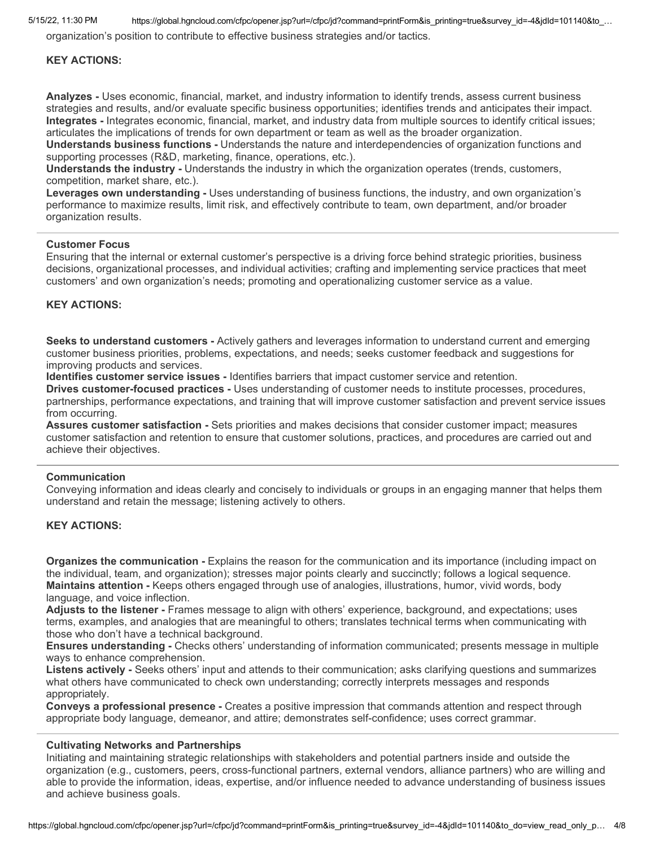5/15/22, 11:30 PM https://global.hgncloud.com/cfpc/opener.jsp?url=/cfpc/jd?command=printForm&is\_printing=true&survey\_id=-4&jdId=101140&to\_…

organization's position to contribute to effective business strategies and/or tactics.

#### **KEY ACTIONS:**

**Analyzes -** Uses economic, financial, market, and industry information to identify trends, assess current business strategies and results, and/or evaluate specific business opportunities; identifies trends and anticipates their impact. **Integrates -** Integrates economic, financial, market, and industry data from multiple sources to identify critical issues; articulates the implications of trends for own department or team as well as the broader organization.

**Understands business functions -** Understands the nature and interdependencies of organization functions and supporting processes (R&D, marketing, finance, operations, etc.).

**Understands the industry -** Understands the industry in which the organization operates (trends, customers, competition, market share, etc.).

**Leverages own understanding -** Uses understanding of business functions, the industry, and own organization's performance to maximize results, limit risk, and effectively contribute to team, own department, and/or broader organization results.

#### **Customer Focus**

Ensuring that the internal or external customer's perspective is a driving force behind strategic priorities, business decisions, organizational processes, and individual activities; crafting and implementing service practices that meet customers' and own organization's needs; promoting and operationalizing customer service as a value.

#### **KEY ACTIONS:**

**Seeks to understand customers -** Actively gathers and leverages information to understand current and emerging customer business priorities, problems, expectations, and needs; seeks customer feedback and suggestions for improving products and services.

**Identifies customer service issues -** Identifies barriers that impact customer service and retention.

**Drives customer-focused practices -** Uses understanding of customer needs to institute processes, procedures, partnerships, performance expectations, and training that will improve customer satisfaction and prevent service issues from occurring.

**Assures customer satisfaction -** Sets priorities and makes decisions that consider customer impact; measures customer satisfaction and retention to ensure that customer solutions, practices, and procedures are carried out and achieve their objectives.

#### **Communication**

Conveying information and ideas clearly and concisely to individuals or groups in an engaging manner that helps them understand and retain the message; listening actively to others.

### **KEY ACTIONS:**

**Organizes the communication -** Explains the reason for the communication and its importance (including impact on the individual, team, and organization); stresses major points clearly and succinctly; follows a logical sequence. **Maintains attention -** Keeps others engaged through use of analogies, illustrations, humor, vivid words, body language, and voice inflection.

**Adjusts to the listener -** Frames message to align with others' experience, background, and expectations; uses terms, examples, and analogies that are meaningful to others; translates technical terms when communicating with those who don't have a technical background.

**Ensures understanding -** Checks others' understanding of information communicated; presents message in multiple ways to enhance comprehension.

**Listens actively -** Seeks others' input and attends to their communication; asks clarifying questions and summarizes what others have communicated to check own understanding; correctly interprets messages and responds appropriately.

**Conveys a professional presence -** Creates a positive impression that commands attention and respect through appropriate body language, demeanor, and attire; demonstrates self-confidence; uses correct grammar.

#### **Cultivating Networks and Partnerships**

Initiating and maintaining strategic relationships with stakeholders and potential partners inside and outside the organization (e.g., customers, peers, cross-functional partners, external vendors, alliance partners) who are willing and able to provide the information, ideas, expertise, and/or influence needed to advance understanding of business issues and achieve business goals.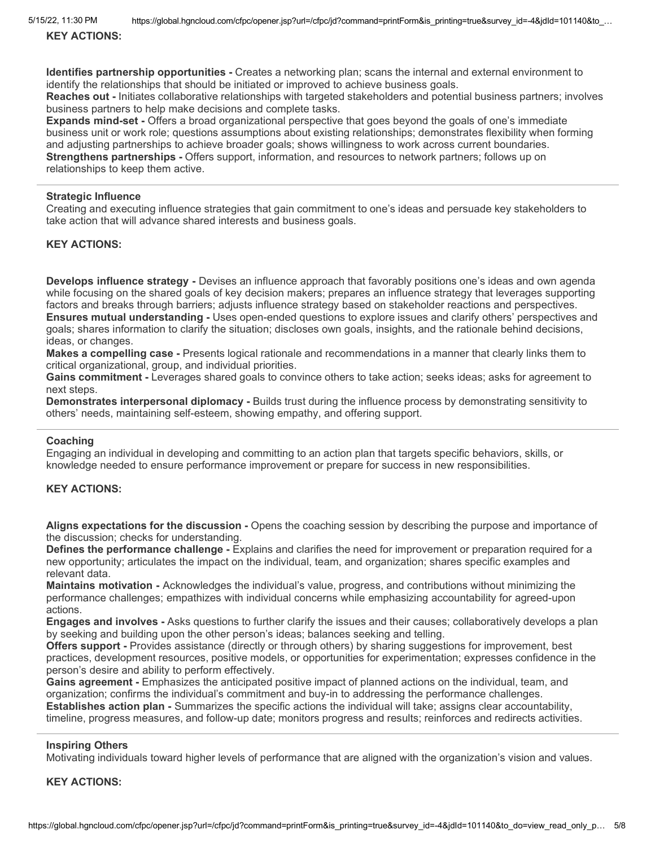5/15/22, 11:30 PM https://global.hgncloud.com/cfpc/opener.jsp?url=/cfpc/jd?command=printForm&is\_printing=true&survey\_id=-4&jdId=101140&to\_…

**KEY ACTIONS:**

**Identifies partnership opportunities -** Creates a networking plan; scans the internal and external environment to identify the relationships that should be initiated or improved to achieve business goals.

**Reaches out -** Initiates collaborative relationships with targeted stakeholders and potential business partners; involves business partners to help make decisions and complete tasks.

**Expands mind-set -** Offers a broad organizational perspective that goes beyond the goals of one's immediate business unit or work role; questions assumptions about existing relationships; demonstrates flexibility when forming and adjusting partnerships to achieve broader goals; shows willingness to work across current boundaries. **Strengthens partnerships -** Offers support, information, and resources to network partners; follows up on relationships to keep them active.

### **Strategic Influence**

Creating and executing influence strategies that gain commitment to one's ideas and persuade key stakeholders to take action that will advance shared interests and business goals.

#### **KEY ACTIONS:**

**Develops influence strategy -** Devises an influence approach that favorably positions one's ideas and own agenda while focusing on the shared goals of key decision makers; prepares an influence strategy that leverages supporting factors and breaks through barriers; adjusts influence strategy based on stakeholder reactions and perspectives. **Ensures mutual understanding -** Uses open-ended questions to explore issues and clarify others' perspectives and goals; shares information to clarify the situation; discloses own goals, insights, and the rationale behind decisions, ideas, or changes.

**Makes a compelling case -** Presents logical rationale and recommendations in a manner that clearly links them to critical organizational, group, and individual priorities.

**Gains commitment -** Leverages shared goals to convince others to take action; seeks ideas; asks for agreement to next steps.

**Demonstrates interpersonal diplomacy -** Builds trust during the influence process by demonstrating sensitivity to others' needs, maintaining self-esteem, showing empathy, and offering support.

#### **Coaching**

Engaging an individual in developing and committing to an action plan that targets specific behaviors, skills, or knowledge needed to ensure performance improvement or prepare for success in new responsibilities.

## **KEY ACTIONS:**

**Aligns expectations for the discussion -** Opens the coaching session by describing the purpose and importance of the discussion; checks for understanding.

**Defines the performance challenge -** Explains and clarifies the need for improvement or preparation required for a new opportunity; articulates the impact on the individual, team, and organization; shares specific examples and relevant data.

**Maintains motivation -** Acknowledges the individual's value, progress, and contributions without minimizing the performance challenges; empathizes with individual concerns while emphasizing accountability for agreed-upon actions.

**Engages and involves -** Asks questions to further clarify the issues and their causes; collaboratively develops a plan by seeking and building upon the other person's ideas; balances seeking and telling.

**Offers support -** Provides assistance (directly or through others) by sharing suggestions for improvement, best practices, development resources, positive models, or opportunities for experimentation; expresses confidence in the person's desire and ability to perform effectively.

**Gains agreement -** Emphasizes the anticipated positive impact of planned actions on the individual, team, and organization; confirms the individual's commitment and buy-in to addressing the performance challenges. **Establishes action plan -** Summarizes the specific actions the individual will take; assigns clear accountability, timeline, progress measures, and follow-up date; monitors progress and results; reinforces and redirects activities.

#### **Inspiring Others**

Motivating individuals toward higher levels of performance that are aligned with the organization's vision and values.

**KEY ACTIONS:**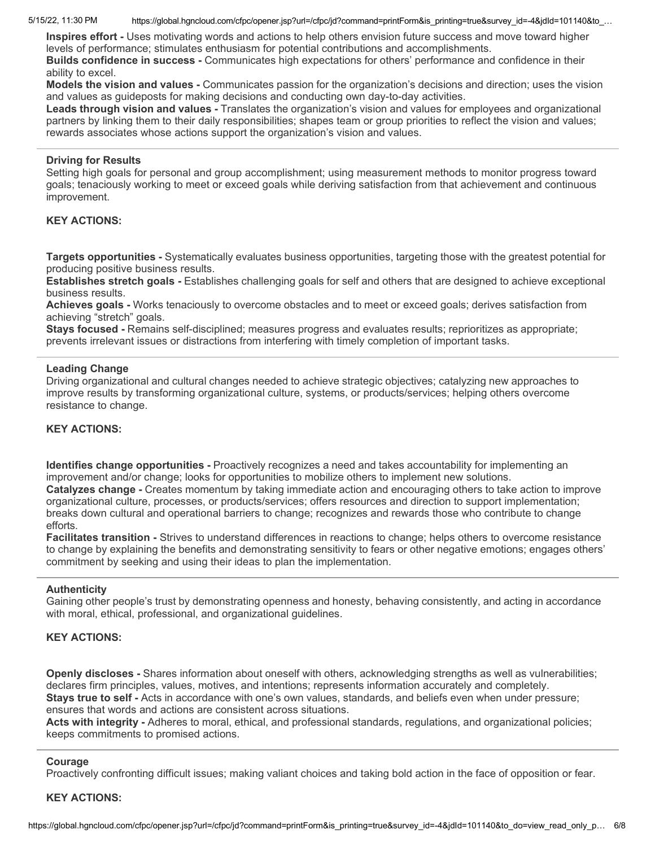5/15/22, 11:30 PM https://global.hgncloud.com/cfpc/opener.jsp?url=/cfpc/jd?command=printForm&is\_printing=true&survey\_id=-4&jdId=101140&to\_…

**Inspires effort -** Uses motivating words and actions to help others envision future success and move toward higher levels of performance; stimulates enthusiasm for potential contributions and accomplishments.

**Builds confidence in success -** Communicates high expectations for others' performance and confidence in their ability to excel.

**Models the vision and values -** Communicates passion for the organization's decisions and direction; uses the vision and values as guideposts for making decisions and conducting own day-to-day activities.

**Leads through vision and values -** Translates the organization's vision and values for employees and organizational partners by linking them to their daily responsibilities; shapes team or group priorities to reflect the vision and values; rewards associates whose actions support the organization's vision and values.

## **Driving for Results**

Setting high goals for personal and group accomplishment; using measurement methods to monitor progress toward goals; tenaciously working to meet or exceed goals while deriving satisfaction from that achievement and continuous improvement.

## **KEY ACTIONS:**

**Targets opportunities -** Systematically evaluates business opportunities, targeting those with the greatest potential for producing positive business results.

**Establishes stretch goals -** Establishes challenging goals for self and others that are designed to achieve exceptional business results.

**Achieves goals -** Works tenaciously to overcome obstacles and to meet or exceed goals; derives satisfaction from achieving "stretch" goals.

**Stays focused -** Remains self-disciplined; measures progress and evaluates results; reprioritizes as appropriate; prevents irrelevant issues or distractions from interfering with timely completion of important tasks.

## **Leading Change**

Driving organizational and cultural changes needed to achieve strategic objectives; catalyzing new approaches to improve results by transforming organizational culture, systems, or products/services; helping others overcome resistance to change.

## **KEY ACTIONS:**

**Identifies change opportunities -** Proactively recognizes a need and takes accountability for implementing an improvement and/or change; looks for opportunities to mobilize others to implement new solutions. **Catalyzes change -** Creates momentum by taking immediate action and encouraging others to take action to improve organizational culture, processes, or products/services; offers resources and direction to support implementation;

breaks down cultural and operational barriers to change; recognizes and rewards those who contribute to change efforts.

**Facilitates transition -** Strives to understand differences in reactions to change; helps others to overcome resistance to change by explaining the benefits and demonstrating sensitivity to fears or other negative emotions; engages others' commitment by seeking and using their ideas to plan the implementation.

### **Authenticity**

Gaining other people's trust by demonstrating openness and honesty, behaving consistently, and acting in accordance with moral, ethical, professional, and organizational guidelines.

## **KEY ACTIONS:**

**Openly discloses -** Shares information about oneself with others, acknowledging strengths as well as vulnerabilities; declares firm principles, values, motives, and intentions; represents information accurately and completely. **Stays true to self -** Acts in accordance with one's own values, standards, and beliefs even when under pressure; ensures that words and actions are consistent across situations.

**Acts with integrity -** Adheres to moral, ethical, and professional standards, regulations, and organizational policies; keeps commitments to promised actions.

## **Courage**

Proactively confronting difficult issues; making valiant choices and taking bold action in the face of opposition or fear.

## **KEY ACTIONS:**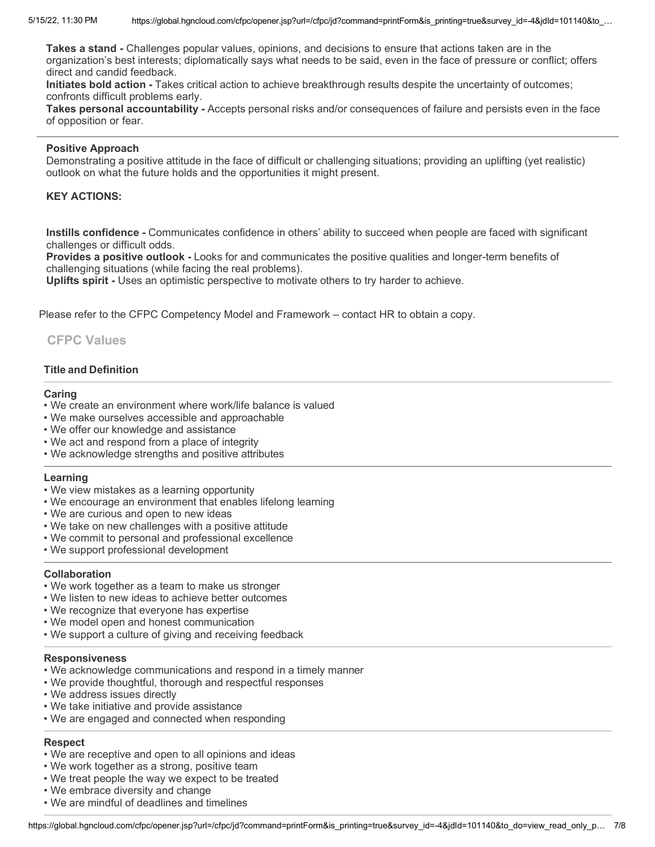**Takes a stand -** Challenges popular values, opinions, and decisions to ensure that actions taken are in the organization's best interests; diplomatically says what needs to be said, even in the face of pressure or conflict; offers direct and candid feedback.

**Initiates bold action -** Takes critical action to achieve breakthrough results despite the uncertainty of outcomes; confronts difficult problems early.

**Takes personal accountability -** Accepts personal risks and/or consequences of failure and persists even in the face of opposition or fear.

#### **Positive Approach**

Demonstrating a positive attitude in the face of difficult or challenging situations; providing an uplifting (yet realistic) outlook on what the future holds and the opportunities it might present.

### **KEY ACTIONS:**

**Instills confidence -** Communicates confidence in others' ability to succeed when people are faced with significant challenges or difficult odds.

**Provides a positive outlook -** Looks for and communicates the positive qualities and longer-term benefits of challenging situations (while facing the real problems).

**Uplifts spirit -** Uses an optimistic perspective to motivate others to try harder to achieve.

Please refer to the CFPC Competency Model and Framework – contact HR to obtain a copy.

## **CFPC Values**

### **Title and Definition**

#### **Caring**

- We create an environment where work/life balance is valued
- We make ourselves accessible and approachable
- We offer our knowledge and assistance
- We act and respond from a place of integrity
- We acknowledge strengths and positive attributes

#### **Learning**

- We view mistakes as a learning opportunity
- We encourage an environment that enables lifelong learning
- We are curious and open to new ideas
- We take on new challenges with a positive attitude
- We commit to personal and professional excellence
- We support professional development

#### **Collaboration**

- We work together as a team to make us stronger
- We listen to new ideas to achieve better outcomes
- We recognize that everyone has expertise
- We model open and honest communication
- We support a culture of giving and receiving feedback

#### **Responsiveness**

- We acknowledge communications and respond in a timely manner
- We provide thoughtful, thorough and respectful responses
- We address issues directly
- We take initiative and provide assistance
- We are engaged and connected when responding

## **Respect**

- We are receptive and open to all opinions and ideas
- We work together as a strong, positive team
- We treat people the way we expect to be treated
- We embrace diversity and change
- We are mindful of deadlines and timelines